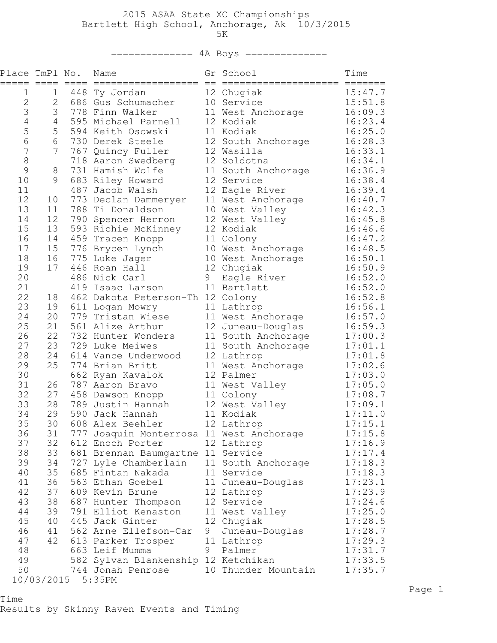## 2015 ASAA State XC Championships Bartlett High School, Anchorage, Ak 10/3/2015

 $5K$ 

## ============== 4A Boys ==============

| Place TmPl No. |              | $====$ | Name<br>==================               | $=$ | Gr School<br>===================== | Time<br>$=$ ====== |
|----------------|--------------|--------|------------------------------------------|-----|------------------------------------|--------------------|
| 1              | 1            | 448    | Ty Jordan                                |     | 12 Chugiak                         | 15:47.7            |
| $\mathbf{2}$   | $\mathbf{2}$ |        | 686 Gus Schumacher                       |     | 10 Service                         | 15:51.8            |
| 3              | 3            |        | 778 Finn Walker                          |     | 11 West Anchorage                  | 16:09.3            |
| 4              | 4            |        | 595 Michael Parnell                      |     | 12 Kodiak                          | 16:23.4            |
| 5              | 5            |        | 594 Keith Osowski                        |     | 11 Kodiak                          | 16:25.0            |
| 6              | 6            |        | 730 Derek Steele                         |     | 12 South Anchorage                 | 16:28.3            |
| $\overline{7}$ | 7            |        | 767 Quincy Fuller                        |     | 12 Wasilla                         | 16:33.1            |
| $\,8\,$        |              |        | 718 Aaron Swedberg                       |     | 12 Soldotna                        | 16:34.1            |
| 9              | 8            |        | 731 Hamish Wolfe                         |     | 11 South Anchorage                 | 16:36.9            |
| 10             | 9            |        | 683 Riley Howard                         |     | 12 Service                         | 16:38.4            |
| 11             |              |        | 487 Jacob Walsh                          |     | 12 Eagle River                     | 16:39.4            |
| 12             | 10           |        | 773 Declan Dammeryer                     |     | 11 West Anchorage                  | 16:40.7            |
| 13<br>14       | 11           | 788    | Ti Donaldson                             |     | 10 West Valley                     | 16:42.3            |
| 15             | 12<br>13     | 790    | Spencer Herron                           |     | 12 West Valley<br>12 Kodiak        | 16:45.8<br>16:46.6 |
| 16             | 14           | 459    | 593 Richie McKinney<br>Tracen Knopp      |     | 11 Colony                          | 16:47.2            |
| 17             | 15           |        | 776 Brycen Lynch                         |     | 10 West Anchorage                  | 16:48.5            |
| 18             | 16           |        | 775 Luke Jager                           |     | 10 West Anchorage                  | 16:50.1            |
| 19             | 17           |        | 446 Roan Hall                            |     | 12 Chugiak                         | 16:50.9            |
| 20             |              |        | 486 Nick Carl                            | 9   | Eagle River                        | 16:52.0            |
| 21             |              | 419    | Isaac Larson                             |     | 11 Bartlett                        | 16:52.0            |
| 22             | 18           |        | 462 Dakota Peterson-Th 12 Colony         |     |                                    | 16:52.8            |
| 23             | 19           |        | 611 Logan Mowry                          |     | 11 Lathrop                         | 16:56.1            |
| 24             | 20           |        | 779 Tristan Wiese                        |     | 11 West Anchorage                  | 16:57.0            |
| 25             | 21           |        | 561 Alize Arthur                         |     | 12 Juneau-Douglas                  | 16:59.3            |
| 26             | 22           |        | 732 Hunter Wonders                       |     | 11 South Anchorage                 | 17:00.3            |
| 27             | 23           |        | 729 Luke Meiwes                          |     | 11 South Anchorage                 | 17:01.1            |
| 28             | 24           |        | 614 Vance Underwood                      |     | 12 Lathrop                         | 17:01.8            |
| 29             | 25           |        | 774 Brian Britt                          |     | 11 West Anchorage                  | 17:02.6            |
| 30             |              |        | 662 Ryan Kavalok                         |     | 12 Palmer                          | 17:03.0            |
| 31             | 26           |        | 787 Aaron Bravo                          |     | 11 West Valley                     | 17:05.0            |
| 32             | 27           |        | 458 Dawson Knopp                         |     | 11 Colony                          | 17:08.7            |
| 33             | 28           |        | 789 Justin Hannah                        |     | 12 West Valley                     | 17:09.1            |
| 34             | 29           |        | 590 Jack Hannah                          |     | 11 Kodiak                          | 17:11.0            |
| 35             | 30           |        | 608 Alex Beehler                         |     | 12 Lathrop                         | 17:15.1            |
| 36             | 31           |        | 777 Joaquin Monterrosa 11 West Anchorage |     |                                    | 17:15.8            |
| 37             | 32           |        | 612 Enoch Porter                         |     | 12 Lathrop                         | 17:16.9            |
| 38             | 33           |        | 681 Brennan Baumgartne 11 Service        |     |                                    | 17:17.4            |
| 39             | 34           |        | 727 Lyle Chamberlain                     |     | 11 South Anchorage                 | 17:18.3            |
| 40             | 35           |        | 685 Fintan Nakada                        |     | 11 Service                         | 17:18.3            |
| 41             | 36           |        | 563 Ethan Goebel                         |     | 11 Juneau-Douglas                  | 17:23.1            |
| 42             | 37           |        | 609 Kevin Brune                          |     | 12 Lathrop                         | 17:23.9            |
| 43             | 38           |        | 687 Hunter Thompson                      |     | 12 Service                         | 17:24.6            |
| 44             | 39           |        | 791 Elliot Kenaston                      |     | 11 West Valley                     | 17:25.0            |
| 45             | 40           |        | 445 Jack Ginter                          |     | 12 Chugiak                         | 17:28.5            |
| 46             | 41           |        | 562 Arne Ellefson-Car                    | 9   | Juneau-Douglas                     | 17:28.7            |
| 47             | 42           |        | 613 Parker Trosper                       |     | 11 Lathrop                         | 17:29.3            |
| 48             |              |        | 663 Leif Mumma                           | 9   | Palmer                             | 17:31.7            |
| 49             |              |        | 582 Sylvan Blankenship 12 Ketchikan      |     |                                    | 17:33.5            |
| 50             |              |        | 744 Jonah Penrose                        |     | 10 Thunder Mountain                | 17:35.7            |

10/03/2015 5:35PM